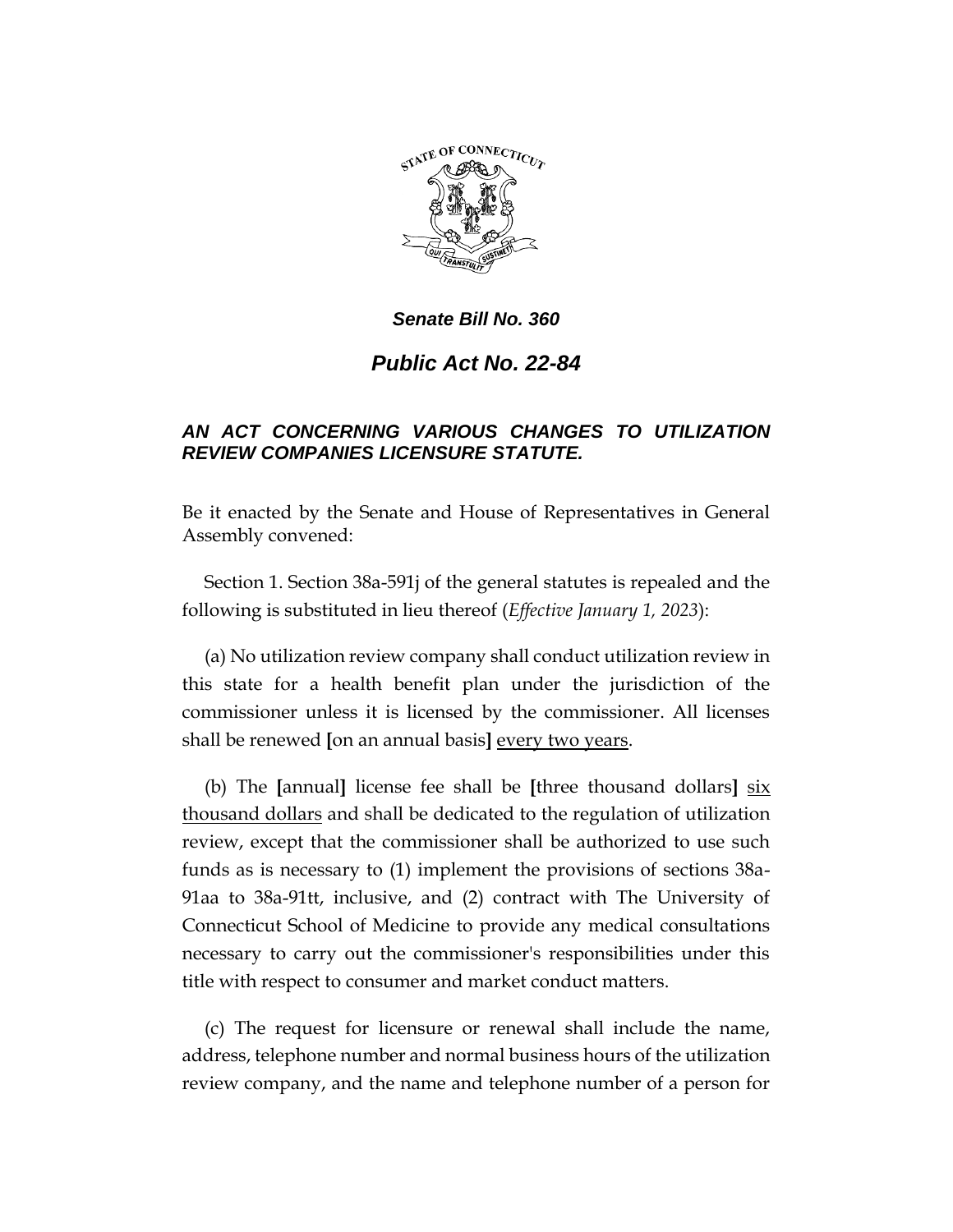

*Senate Bill No. 360*

*Public Act No. 22-84*

## *AN ACT CONCERNING VARIOUS CHANGES TO UTILIZATION REVIEW COMPANIES LICENSURE STATUTE.*

Be it enacted by the Senate and House of Representatives in General Assembly convened:

Section 1. Section 38a-591j of the general statutes is repealed and the following is substituted in lieu thereof (*Effective January 1, 2023*):

(a) No utilization review company shall conduct utilization review in this state for a health benefit plan under the jurisdiction of the commissioner unless it is licensed by the commissioner. All licenses shall be renewed **[**on an annual basis**]** every two years.

(b) The **[**annual**]** license fee shall be **[**three thousand dollars**]** six thousand dollars and shall be dedicated to the regulation of utilization review, except that the commissioner shall be authorized to use such funds as is necessary to (1) implement the provisions of sections 38a-91aa to 38a-91tt, inclusive, and (2) contract with The University of Connecticut School of Medicine to provide any medical consultations necessary to carry out the commissioner's responsibilities under this title with respect to consumer and market conduct matters.

(c) The request for licensure or renewal shall include the name, address, telephone number and normal business hours of the utilization review company, and the name and telephone number of a person for